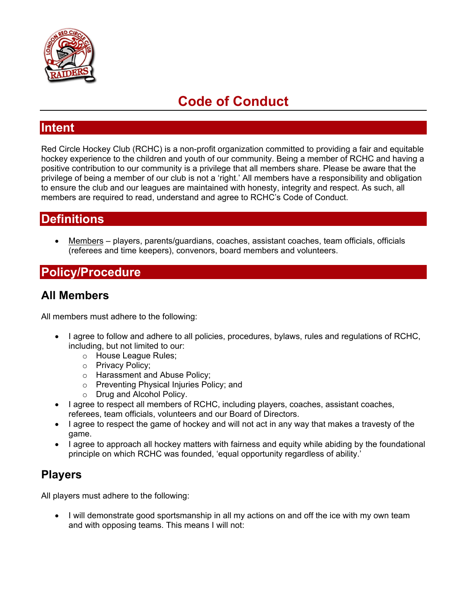

# **Code of Conduct**

#### **Intent**

Red Circle Hockey Club (RCHC) is a non-profit organization committed to providing a fair and equitable hockey experience to the children and youth of our community. Being a member of RCHC and having a positive contribution to our community is a privilege that all members share. Please be aware that the privilege of being a member of our club is not a 'right.' All members have a responsibility and obligation to ensure the club and our leagues are maintained with honesty, integrity and respect. As such, all members are required to read, understand and agree to RCHC's Code of Conduct.

### **Definitions**

 Members – players, parents/guardians, coaches, assistant coaches, team officials, officials (referees and time keepers), convenors, board members and volunteers.

### **Policy/Procedure**

### **All Members**

All members must adhere to the following:

- I agree to follow and adhere to all policies, procedures, bylaws, rules and regulations of RCHC, including, but not limited to our:
	- o House League Rules;
	- o Privacy Policy;
	- o Harassment and Abuse Policy;
	- o Preventing Physical Injuries Policy; and
	- o Drug and Alcohol Policy.
- I agree to respect all members of RCHC, including players, coaches, assistant coaches, referees, team officials, volunteers and our Board of Directors.
- I agree to respect the game of hockey and will not act in any way that makes a travesty of the game.
- I agree to approach all hockey matters with fairness and equity while abiding by the foundational principle on which RCHC was founded, 'equal opportunity regardless of ability.'

### **Players**

All players must adhere to the following:

• I will demonstrate good sportsmanship in all my actions on and off the ice with my own team and with opposing teams. This means I will not: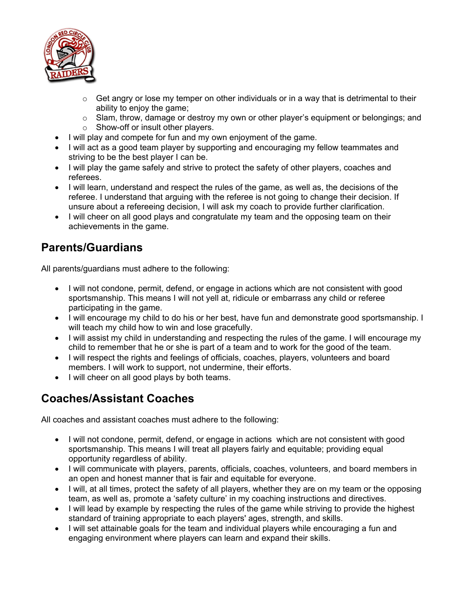

- $\circ$  Get angry or lose my temper on other individuals or in a way that is detrimental to their ability to enjoy the game;
- o Slam, throw, damage or destroy my own or other player's equipment or belongings; and o Show-off or insult other players.
- I will play and compete for fun and my own enjoyment of the game.
- I will act as a good team player by supporting and encouraging my fellow teammates and striving to be the best player I can be.
- I will play the game safely and strive to protect the safety of other players, coaches and referees.
- I will learn, understand and respect the rules of the game, as well as, the decisions of the referee. I understand that arguing with the referee is not going to change their decision. If unsure about a refereeing decision, I will ask my coach to provide further clarification.
- I will cheer on all good plays and congratulate my team and the opposing team on their achievements in the game.

# **Parents/Guardians**

All parents/guardians must adhere to the following:

- I will not condone, permit, defend, or engage in actions which are not consistent with good sportsmanship. This means I will not yell at, ridicule or embarrass any child or referee participating in the game.
- I will encourage my child to do his or her best, have fun and demonstrate good sportsmanship. I will teach my child how to win and lose gracefully.
- I will assist my child in understanding and respecting the rules of the game. I will encourage my child to remember that he or she is part of a team and to work for the good of the team.
- I will respect the rights and feelings of officials, coaches, players, volunteers and board members. I will work to support, not undermine, their efforts.
- I will cheer on all good plays by both teams.

## **Coaches/Assistant Coaches**

All coaches and assistant coaches must adhere to the following:

- I will not condone, permit, defend, or engage in actions which are not consistent with good sportsmanship. This means I will treat all players fairly and equitable; providing equal opportunity regardless of ability.
- I will communicate with players, parents, officials, coaches, volunteers, and board members in an open and honest manner that is fair and equitable for everyone.
- I will, at all times, protect the safety of all players, whether they are on my team or the opposing team, as well as, promote a 'safety culture' in my coaching instructions and directives.
- I will lead by example by respecting the rules of the game while striving to provide the highest standard of training appropriate to each players' ages, strength, and skills.
- I will set attainable goals for the team and individual players while encouraging a fun and engaging environment where players can learn and expand their skills.